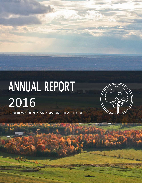# ANNUAL REPORT 2016 RENFREW COUNTY AND DISTRICT HEALTH UNIT

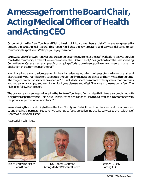## **A messagefromtheBoardChair, ActingMedical Officer of Health andActingCEO**

On behalf of the Renfrew County and District Health Unit board members and staff, we are very pleased to present the 2016 Annual Report. This report highlights the key programs and services delivered to our communitythispast year. Wehopeyouenjoythis report.

2016 was a year of growth, renewal and great progress on many fronts as the staff worked tirelessly to provide care to the community. In the fall we were awarded the "Baby Friendly" designation from the Breastfeeding Committee for Canada – an example of our ongoing efforts to create supportive environments through the dedication and commitment of the staff.

We initiated programs to address emerging health challenges including the issues of opioid overdose risk and distracted driving. Families were supported through our immunization, dental and family health programs. The range of protection services provided in 2016 included inspections of safe water systems, food premises and recreational camps, and monitoring for Lyme disease and West Nile virus - to name but a few. The highlights followin the report.

The programs and services delivered by the Renfrew County and District Health Unit were accomplished with a high level of performance. This is due, in part, to the dedication of Health Unit staff and in accordance with the provincial performance indicators, 2016.

We are taking this opportunity to thank Renfrew County and District board members and staff, our community and provincial partners. Together we continue to focus on delivering quality services to the residents of RenfrewCountyandDistrict.

Respectfully submitted,



Janice Visneskie-Moore BoardChair



Dr. Robert Cushman ActingMedicalOfficerofHealth



Heather G. Daly Acting CEO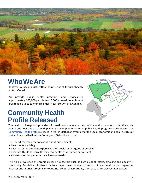

### **WhoWeAre**

RenfrewCountyandDistrictHealthUnitisoneof36publichealth units inOntario.

We provide public health programs and services to approximately 105,000 people in a 15,000 square kmcatchment area that includes 19 municipalities in eastern Ontario, Canada.

### **Community Health Profile Released**



The Health Unit regularly provides information on the health status of the local population to identify public health priorities and assist with planning and implementation of public health programs and services. The [Community](http://rcdhu.com/wp-content/uploads/2017/03/Report-Community-Health-Profile-2016.pdf) Health Profile released in March 2016 is an overview ofthe socio-economic and health status of residents served by Renfrew County and District Health Unit.

The report revealed the following about our residents:

- life expectancy is high
- over half ofthe population perceive their health as very good or excellent
- over two-thirds perceive their mental health as very good or excellent
- almost one-third perceive their lives as stressful

The high prevalence of chronic disease risk factors such as high alcohol intake, smoking and obesity is concerning. Mortality rates from the four major causes of death (cancers, circulatory diseases, respiratory diseases and injuries) are similar to Ontario, except that mortality from circulatory diseases is elevated.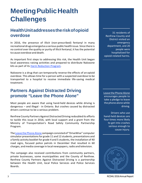### **Meeting Public Health Challenges**

### **HealthUnitaddressestheriskofopioid overdose**

In 2016, the presence of illicit (non-prescribed) fentanyl in many recreational drugs emerged as a serious public health issue. Since there is no control over the quality or purity of illicit fentanyl, it hasthe potential to cause overdose and death.

As important first steps to addressing this risk, the Health Unit began local awareness raising activities and prepared to distribute Naloxone kits as part of its [Harm Reduction Program.](https://rcdhu.com/healthy-living/needle-exchange-and-harm-reduction-supplies/)

Naloxone is a drug that can temporarily reverse the effects of an opioid overdose. This allows time for a person with a suspected overdose to be transported to a hospital to receive immediate life-saving medical treatment.

#### **Partners Against Distracted Driving promote "Leave the Phone Alone"**

Most people are aware that using hand-held devices while driving is dangerous – and illegal - in Ontario. But crashes caused by distracted drivers continue to be a serious problem.

Renfrew County Partners Against Distracted Driving redoubled its efforts to tackle this issue in 2016, with local support and a grant from the Ministry of Transportation's Road Safety Community Partnership Program.

The Leave the Phone Alone campaign consisted of "DriveWise" computer simulator presentations for grade 11 and 12 students, presentations and a family activity booklet for grade 4 and 5 students, the installation of 40 road signs, focused police patrols in December that resulted in 60 charges, and media coverage in local newspapers,radio and television.

The campaign also received contributions from community partners, private businesses, some municipalities and the County of Renfrew. Renfrew County Partners Against Distracted Driving is a partnership between the Health Unit, local Police Services and Police Services Boards.

31 residents of Renfrew County and District visited an emergency department, and 20 people were hospitalized for opioid-related harms.

Leave the [Phone](http://www.leavethephonealone.ca/en/take-the-pledge) Alone encourages people to take a pledge to leave the phone alone while driving.

Drivers who use hand-held devices are four times more likely to get into crashes serious enough to cause injury.

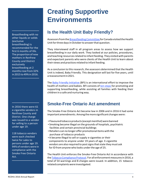### **Creating Supportive Environments**

Breastfeeding with no other liquids or solids (exclusive breastfeeding) is recommended for the first 6 months of life. The proportion of new mothers in Renfrew County and District exclusively breastfeeding at 2 monthsrose from32% in2015 to 49%in2016.

In 2016 there were 61 e-cigarette vendors in Renfrew County and District. One charge was issued to a vendor for selling to a person under age 19.

118 tobacco vendors were each checked twice for sales to persons under age 19. 94%of vendors were in compliance with the Smoke Free Ontario Act.

### **Is the Health Unit Baby Friendly?**

Assessors from the Breastfeeding Committee for Canada visited the Health Unit for three days in October to answer that question.

They interviewed staff in all program areas to assess how we support breastfeeding in our daily work. They looked at our policies, procedures, and teaching resources related to infant feeding. They visited with parents and expectant parents who were clients of the Health Unit to learn about their views and practices related to infant feeding.

As a conclusion to this research, the assessors determined that the Health Unit is indeed, Baby Friendly. This designation will last for five years, until a reassessmentin2021.

The **Baby Friendly [Initiative](http://www.bfiontario.ca/)** (BFI) is an international effort to improve the health of mothers and babies. BFI consists of ten [steps](http://breastfeedingcanada.ca/documents/Indicators%20-%20complete%20June%202017.pdf) for promoting and supporting breastfeeding, while assisting all families with feeding their children in a safe and nurturing way.

### **Smoke-Free Ontario Act amendment**

The Smoke-Free Ontario Act became law in 2006 and in 2016 it had some important amendments. Among the more significant changes were:

- Flavoured tobacco products (except menthol) were banned
- Smoking became illegal on the grounds of hospitals, psychiatric facilities and certain provincial buildings
- Retailers can no longer offer promotional items with the purchase of tobacco products
- It became illegal to sell or supply e-cigarettes or their components to anyone under 19 years of age. E-cigarette vendors are also required to post signs that state they must ask for ID from anyone who looks under the age of 25.

The Health Unit enforces the Smoke-Free Ontario Act in accordance with the Tobacco Compliance Protocol. For all enforcement measures in 2016, a total of 54 warnings and 8 charges were issued. In addition, 15 tobaccorelatedcomplaintswereinvestigated.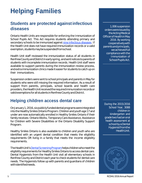## **Helping Families**

### **Students are protected againstinfectious diseases**

Ontario Health Units are responsible for enforcing the Immunization of School Pupils Act. This Act requires students attending primary and secondary schools to be immunized against nine [infectious](http://www.health.gov.on.ca/en/pro/programs/immunization/ispa.aspx) diseases. If the Health Unit does not have required immunization records or a valid exemption, students may be suspended from school.

Health Unit staff reviewed the immunization status of all students in Renfrew County and District in early spring, and sent notices to parents of students with incomplete immunization records. Health Unit staff were available to support parents during the immunization review process, and extra immunization clinics made it easierfor students to catch up on their immunizations.

Suspension orders were sent to school principals and parents in May for students who were still missing the required information. As a result of support from parents, principals, school boards and health care providers, the Health Unit received the required immunization records or valid exemptions for all students in Renfrew County and District.

### **Helping children access dental care**

OnJanuary1,2016,sixpubliclyfundeddental programs wereintegrated into the Healthy Smiles Ontario Program. Children and youth age 17 and under are now automatically enrolled in Healthy Smiles Ontario if their family receives: Ontario Works, Temporary Care Assistance, Assistance for Children with Severe Disabilities or the Ontario Disability Support Program.

Healthy Smiles Ontario is also available to children and youth who are identified with an urgent dental condition that meets the eligibility requirements OR living in a family that meets the income eligibility requirements.

The Health Unit's Dental Screening Program helps children who meet the eligibility requirements for Healthy Smiles Ontario to access dental care. Dental Hygienists from the Health Unit visit all elementary schools in Renfrew County and District each year to check students for dental care needs. The Hygienists follow up with parents and guardians of children withidentifiedneeds.

1,006 suspension orderswereissuedby theActingMedical OfficerofHealthinMay 2016. By working cooperativelywith parents and principals, we achieved full compliance with the Immunization of School Pupils Act.

During the 2015/2016 School Year, 3088 children in kindergarten and grade two had an oral health assessment at school by a Dental Hygienistfromthe HealthUnit.

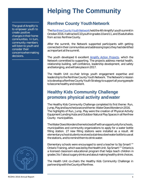The goal of Amplify! is to empower youth to create positive changes in their home communities. In turn, community members will listen to youth and consider their concernswhenmaking decisions.

### **Helping The Community**

### **Renfrew County Youth Network**

The Renfrew County Youth Network held the 4th Amplify! youth summit in October2016.Itattracted110youthingrades10and11,and35adultallies from across Renfrew County.

After the summit, the Network supported participants with getting connected in their communities and addressing topics they had identified as important at the summit.

The youth developed 6 excellent [Amplify Action Projects,](http://rcdhu.com/wp-content/uploads/2017/07/Amplify-2016-Action-Project-Summary_Final.pdf) which the Network committed to supporting. The projects address mental health, relationship building, self-confidence, leadership development, and safety and belonging, and will take place in 2017.

The Health Unit co-chair brings youth engagement expertise and leadership to the Renfrew County Youth Network. The Network's mission is to develop a Renfrew County Youth Strategy to support all young people tobecomehealthy andresilient.

### **Healthy Kids Community Challenge promotes physical activity andwater**

The Healthy Kids Community Challenge completed its first theme: Run, Jump,Playandlaunched a secondtheme:WaterDoesWondersin2016. The highlights of Run, Jump, Play were the creation of Physical Activity Equipment Lending Hubs and Outdoor Natural Play Spaces in all Renfrew County municipalities.

TheWaterDoesWondersthemekickedoffwithanopportunityforschools, municipalities and community organizations to apply for a water bottle filling station. 27 new filling stations were installed as a result. All elementaryschoolstudentsreceived a stainlesssteelwaterbottletouseat the stations, and to remind them to drink water.

Elementary schools were encouraged to send a teacher to Sip Smart!™ Ontario Training, which was led by the Health Unit. Sip Smart!™ Ontario is a licensed classroom educational program that helps teach children in grades 3 to 7 about sugary drinks and about making healthy drink choices.

The Health Unit co-chairs the Healthy Kids Community Challenge in partnershipwiththeCountyofRenfrew.

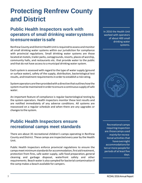### **Protecting Renfrew County and District**

### **Public Health Inspectors work with operators of small drinking watersystems toensurewaterissafe**

Renfrew County and District Health Unit is required to assess and monitor all small drinking water systems within our jurisdiction for compliance with provincial regulations. Small drinking water systems are those located at motels, trailer parks, campgrounds, resorts, places of worship, community halls, and restaurants etc. that provide water to the public and that do not have accessto a municipal drinking water system.

Each system is assessed with regard to the type of water supply (ground or surface water), safety of the supply, distribution, bacteriological test results, and treatment requirements in order to establish a risk rating.

System operators are then provided with a directive that outlines how the system must be maintained in order to ensure a continuous supply of safe water.

An important feature of compliance is regular bacteriological testing by the system operators. Health inspectors monitor these test results and are notified immediately of any adverse conditions. All systems are reassessed on a regular schedule and when there are any upgrades or changesto the system.

#### **Public Health Inspectors ensure recreational camps meet standards**

There are about 35 recreational children's camps operating in Renfrew County and District. These camps are inspected every year by the Health Unit.

Public Health Inspectors enforce provincial regulations to ensure the camps meet minimum standards for accommodation, first aid treatment, protection from fires, safe water supply, safe food preparation, general cleaning and garbage disposal, waterfront safety and other requirements. Beach water is also sampled for bacterial contamination if the camp makes a beach available for campers.

In 2016 the Health Unit worked with operators of about 400 small drinking water systems.



Recreational camps requiringinspection are thosecamps used mainly forrecreational activities that haveovernight accommodationsfor tenormore people for periods of at least five days.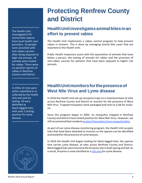The Health Unit investigated 274 animal bite reports from local health care providers. 23 people were provided with anti-rabies vaccine after being exposed to high-risk animals. 19 animals were tested for rabies. There were no positive reports of rabies in Renfrew County and District.

In 2016, 41 ticks were either submitted to or collected by the Health Unit and sent for testing. 29 were identified as black-legged ticks, with only 2 testing positive for Lyme disease.



### **Protecting Renfrew County and District**

### **HealthUnitinvestigatesanimalbitesinan effort to prevent rabies**

The Health Unit implements a rabies control program to help prevent rabies in humans. This is done by managing animal bite cases that are reported to the Health Unit.

Public Health Inspectors assist with the quarantine of animals that have bitten a person, the testing of animals for rabies and the provision of anti-rabies vaccine for patients that have been exposed to higher risk animals.

### **HealthUnitmonitorsforthepresenceof West Nile Virus and Lyme disease**

In 2016 the Health Unit set up mosquito traps on a rotational basis at sites across Renfrew County and District to monitor for the presence of West Nile Virus. Trapped mosquitos were packaged and sent to a lab for analysis.

Since this program began in 2003, no mosquitos trapped in Renfrew County and District have tested positive for West Nile Virus. However, we still recommend that residents protect themselves from mosquito bites.

As part of our Lyme disease monitoring program, the Health Unit accepts ticks that have been attached to humans so the species can be identified and tested forthe presence of Lyme disease.

In 2016 the Health Unit began looking for black legged ticks, the species that carries Lyme disease, at sites across Renfrew County and District. Black legged ticks were found atthe Arnpriorsite in both spring and fall. As a result, Arnprior is now classified as a risk [area](http://rcdhu.com/wp-content/uploads/2017/08/Lyme_disease_risk_areas_map.pdf) for Lyme disease.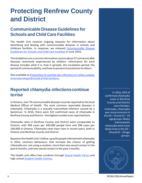### **Protecting Renfrew County and District**

### **Communicable Disease Guidelines for Schools and Child Care Facilities**

The Health Unit receives ongoing requests for information about identifying and dealing with communicable diseases in schools and childcare facilities. In response, we released [Communicable Disease](http://rcdhu.com/wp-content/uploads/2017/03/Child-Care-Schools-Communicable-Disease-Guidelines.pdf) [Guidelines for Schools and Child Care Facilities i](http://rcdhu.com/wp-content/uploads/2017/03/Child-Care-Schools-Communicable-Disease-Guidelines.pdf)n June 2016.

TheGuidelines are a concise information source about 37 communicable diseases commonly experienced by children. Information for each disease includes what it is, how it spreads, the incubation period, the period of communicability, and how to prevent transmission to others.

Also available as [Prévention](http://rcdhu.com/wp-content/uploads/2017/03/Child-Care-Schools-Communicable-Disease-Guidelines-FRENCH.pdf) et contrôle des infections en milieu scolaire et services de garde Guide [d'Interventions.](http://rcdhu.com/wp-content/uploads/2017/03/Child-Care-Schools-Communicable-Disease-Guidelines-FRENCH.pdf)

#### **Reported chlamydia infections continue torise**

InOntario, over 70 communicable diseases must be reported to the local Medical Officer of Health. The most common reportable diseases is chlamydia. Chlamydia is a sexually transmitted infection caused by a bacterium. In 2016, there were 323 confirmed cases of chlamydia in Renfrew County and District-the highest number ever reported here.

Chlamydia rates in Renfrew County and District were comparable to Ontario, with 304 cases per 100,000 people here and 298 cases per 100,000 in Ontario. Chlamydia rates have risen in recent years, both in Ontario and Renfrew County and District.

Based on the Health Unit's follow-up with people infected with chlamydia in 2016, common behaviours that increase the chance of getting chlamydia are: not using a condom, more than one sexual contact in the past 6 months, and new sexual contact in the past 2 months.

The Health unit offers free condoms through [Sexual Health Clinics a](https://rcdhu.com/clinics-classes/sexual-health-clinics/)nd high school [Student Health Centres.](https://rcdhu.com/clinics-classes/student-health-centres/)

In 2016, 63% of confirmed chlamydia cases in Renfrew County and District were females. In females, chlamydia was morecommon in the  $20 - 24$  and  $15 - 19$ agegroups.Males infectedwith chlamydiaweremost likely to be in the 20 – 24 and 25 – 29 age groups.